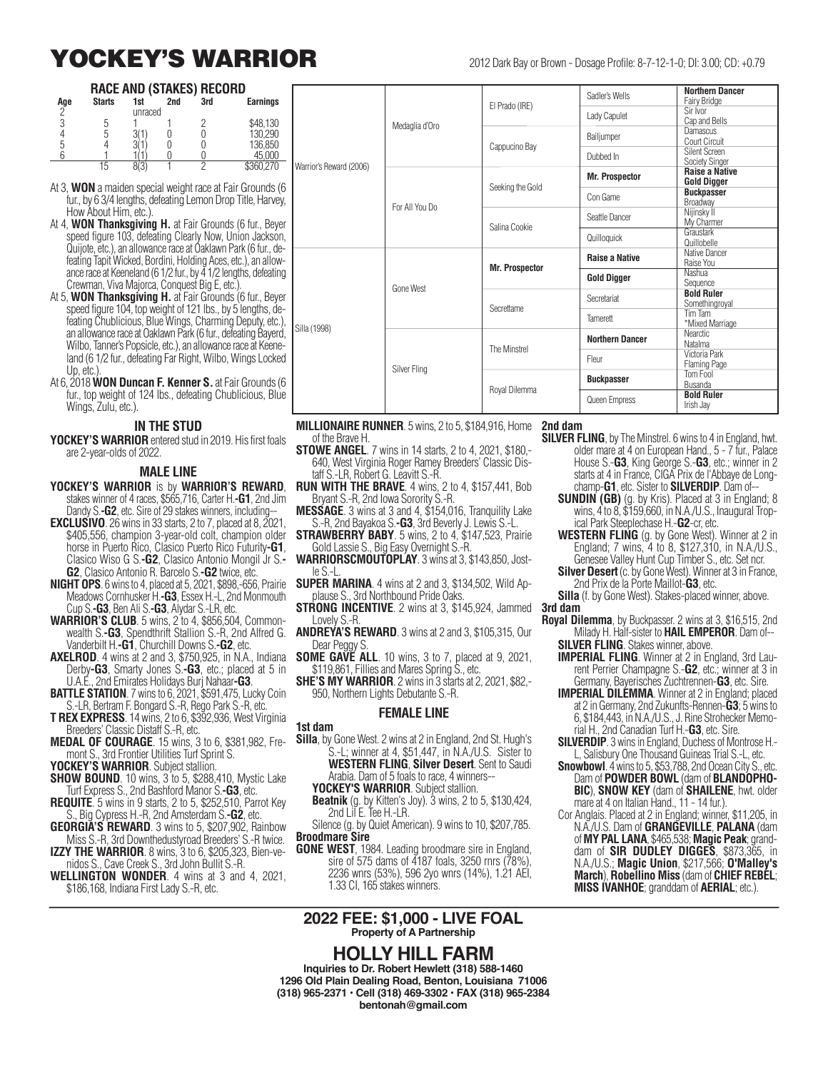# **YOCKEY'S WARRIOR** 2012 Dark Bay or Brown - Dosage Profile: 8-7-12-1-0; DI: 3.00; CD: +0.79

#### **RACE AND (STAKES) RECORD**

| Age | <b>Starts</b> | 1st     | 2nd | 3rd | <b>Earnings</b> |  |  |  |
|-----|---------------|---------|-----|-----|-----------------|--|--|--|
| ŋ   |               | unraced |     |     |                 |  |  |  |
|     |               |         |     |     | \$48,130        |  |  |  |
|     |               |         |     |     | 130,290         |  |  |  |
|     |               |         |     |     | 136,850         |  |  |  |
|     |               |         |     |     | 45.000          |  |  |  |
|     | 15            |         |     |     | \$360 270       |  |  |  |

At 3, **WON** a maiden special weight race at Fair Grounds (6 fur., by 6 3/4 lengths, defeating Lemon Drop Title, Harvey, How About Him, etc.).

- At 4, **WON Thanksgiving H.** at Fair Grounds (6 fur., Beyer speed figure 103, defeating Clearly Now, Union Jackson, Quijote, etc.), an allowance race at Oaklawn Park (6 fur., defeating Tapit Wicked, Bordini, Holding Aces, etc.), an allowance race at Keeneland (6 1/2 fur., by  $\overline{4}$  1/2 lengths, defeating Crewman, Viva Majorca, Conquest Big E, etc.).
- At 5, **WON Thanksgiving H.** at Fair Grounds (6 fur., Beyer speed figure 104, top weight of 121 lbs., by 5 lengths, defeating Chublicious, Blue Wings, Charming Deputy, etc.), an allowance race at Oaklawn Park (6 fur., defeating Bayerd, Wilbo, Tanner's Popsicle, etc.), an allowance race at Keeneland (6 1/2 fur., defeating Far Right, Wilbo, Wings Locked Up, etc.)
- At 6, 2018 **WON Duncan F. Kenner S.** at Fair Grounds (6 fur., top weight of 124 lbs., defeating Chublicious, Blue Wings, Zulu, etc.).

#### **IN THE STUD**

**YOCKEY'S WARRIOR** entered stud in 2019. His first foals are 2-year-olds of 2022.

#### **MALE LINE**

- **YOCKEY'S WARRIOR** is by **WARRIOR'S REWARD**, stakes winner of 4 races, \$565,716, Carter H.**-G1**, 2nd Jim Dandy S.**-G2**, etc. Sire of 29 stakes winners, including--
- **EXCLUSIVO**. 26 wins in 33 starts, 2 to 7, placed at 8, 2021, \$405,556, champion 3-year-old colt, champion older horse in Puerto Rico, Clasico Puerto Rico Futurity**-G1**, Clasico Wiso G S.**-G2**, Clasico Antonio Mongil Jr S.**- G2**, Clasico Antonio R. Barcelo S.**-G2** twice, etc.
- **NIGHT OPS**. 6 wins to 4, placed at 5, 2021, \$898,-656, Prairie Meadows Cornhusker H.**-G3**, Essex H.-L, 2nd Monmouth Cup S.**-G3**, Ben Ali S.**-G3**, Alydar S.-LR, etc.
- **WARRIOR'S CLUB**. 5 wins, 2 to 4, \$856,504, Commonwealth S.**-G3**, Spendthrift Stallion S.-R, 2nd Alfred G. Vanderbilt H.**-G1**, Churchill Downs S.**-G2**, etc.
- **AXELROD**. 4 wins at 2 and 3, \$750,925, in N.A., Indiana Derby**-G3**, Smarty Jones S.**-G3**, etc.; placed at 5 in U.A.E., 2nd Emirates Holidays Burj Nahaar**-G3**.
- **BATTLE STATION**. 7 wins to 6, 2021, \$591,475, Lucky Coin S.-LR, Bertram F. Bongard S.-R, Rego Park S.-R, etc.
- **T REX EXPRESS**. 14 wins, 2 to 6, \$392,936, West Virginia Breeders' Classic Distaff S.-R, etc.
- **MEDAL OF COURAGE**. 15 wins, 3 to 6, \$381,982, Fremont S., 3rd Frontier Utilities Turf Sprint S.

**YOCKEY'S WARRIOR**. Subject stallion.

- **SHOW BOUND**. 10 wins, 3 to 5, \$288,410, Mystic Lake Turf Express S., 2nd Bashford Manor S.**-G3**, etc.
- **REQUITE**. 5 wins in 9 starts, 2 to 5, \$252,510, Parrot Key S., Big Cypress H.-R, 2nd Amsterdam S.**-G2**, etc.
- **GEORGIA'S REWARD**. 3 wins to 5, \$207,902, Rainbow Miss S.-R, 3rd Downthedustyroad Breeders' S.-R twice.
- **IZZY THE WARRIOR**. 8 wins, 3 to 6, \$205,323, Bien-venidos S., Cave Creek S., 3rd John Bullit S.-R.
- **WELLINGTON WONDER**. 4 wins at 3 and 4, 2021, \$186,168, Indiana First Lady S.-R, etc.

|                         |                  |                       | Sadler's Wells         | <b>Northern Dancer</b><br>Fairy Bridge |
|-------------------------|------------------|-----------------------|------------------------|----------------------------------------|
|                         |                  | El Prado (IRE)        | Lady Capulet           | Sir Ivor<br>Cap and Bells              |
|                         | Medaglia d'Oro   | Cappucino Bay         | Bailjumper             | Damascus<br>Court Circuit              |
|                         |                  |                       | Dubbed In              | Silent Screen<br><b>Society Singer</b> |
| Warrior's Reward (2006) | For All You Do   |                       | <b>Mr. Prospector</b>  | <b>Raise a Native</b><br>Gold Digger   |
|                         |                  | Seeking the Gold      | Con Game               | <b>Buckpasser</b><br>Broadway          |
|                         |                  | Salina Cookie         | Seattle Dancer         | Nijinsky II<br>My Charmer              |
|                         |                  |                       | Quilloquick            | Graustark<br>Quillobelle               |
|                         | <b>Gone West</b> | <b>Mr. Prospector</b> | <b>Raise a Native</b>  | Native Dancer<br>Raise You             |
|                         |                  |                       | <b>Gold Digger</b>     | Nashua<br>Sequence                     |
|                         |                  | Secrettame            | Secretariat            | <b>Bold Ruler</b><br>Somethingroyal    |
| Silla (1998)            |                  |                       | Tamerett               | Tim Tam<br>*Mixed Marriage             |
|                         |                  | The Minstrel          | <b>Northern Dancer</b> | Nearctic<br>Natalma                    |
|                         |                  |                       | Fleur                  | Victoria Park<br><b>Flaming Page</b>   |
|                         | Silver Fling     | Royal Dilemma         | <b>Buckpasser</b>      | Tom Fool<br>Busanda                    |
|                         |                  |                       | Queen Empress          | <b>Bold Ruler</b><br>Irish Jay         |

- **MILLIONAIRE RUNNER**. 5 wins, 2 to 5, \$184,916, Home of the Brave H.
- **STOWE ANGEL**. 7 wins in 14 starts, 2 to 4, 2021, \$180,- 640, West Virginia Roger Ramey Breeders' Classic Distaff S.-LR, Robert G. Leavitt S.-R.
- **RUN WITH THE BRAVE**. 4 wins, 2 to 4, \$157,441, Bob Bryant S.-R, 2nd Iowa Sorority S.-R.
- **MESSAGE**. 3 wins at 3 and 4, \$154,016, Tranquility Lake S.-R, 2nd Bayakoa S.**-G3**, 3rd Beverly J. Lewis S.-L.
- **STRAWBERRY BABY**. 5 wins, 2 to 4, \$147,523, Prairie Gold Lassie S., Big Easy Overnight S.-R.
- **WARRIORSCMOUTOPLAY**. 3 wins at 3, \$143,850, Jostle S.-L.
- **SUPER MARINA**. 4 wins at 2 and 3, \$134,502, Wild Applause S., 3rd Northbound Pride Oaks.
- **STRONG INCENTIVE**. 2 wins at 3, \$145,924, Jammed Lovely S.-R.
- **ANDREYA'S REWARD**. 3 wins at 2 and 3, \$105,315, Our Dear Peggy S.
- **SOME GAVE ALL.** 10 wins, 3 to 7, placed at 9, 2021, \$119,861, Fillies and Mares Spring S., etc.
- **SHE'S MY WARRIOR**. 2 wins in 3 starts at 2, 2021, \$82,- 950, Northern Lights Debutante S.-R.

#### **FEMALE LINE**

#### **1st dam**

- **Silla**, by Gone West. 2 wins at 2 in England, 2nd St. Hugh's S.-L; winner at 4, \$51,447, in N.A./U.S. Sister to **WESTERN FLING**, **Silver Desert**. Sent to Saudi Arabia. Dam of 5 foals to race, 4 winners--
	- **YOCKEY'S WARRIOR**. Subject stallion.
	- **Beatnik** (g. by Kitten's Joy). 3 wins, 2 to 5, \$130,424, 2nd Lil E. Tee H.-LR.
- Silence (g. by Quiet American). 9 wins to 10, \$207,785. **Broodmare Sire**
- **GONE WEST**, 1984. Leading broodmare sire in England, sire of 575 dams of 4187 foals, 3250 rnrs (78%), 2236 wnrs (53%), 596 2yo wnrs (14%), 1.21 AEI, 1.33 CI, 165 stakes winners.

#### **2022 FEE: \$1,000 - LIVE FOAL Property of A Partnership**

#### **HOLLY HILL FARM**

**Inquiries to Dr. Robert Hewlett (318) 588-1460 1296 Old Plain Dealing Road, Benton, Louisiana 71006 (318) 965-2371 • Cell (318) 469-3302 • FAX (318) 965-2384 bentonah@gmail.com**

#### **2nd dam**

- **SILVER FLING**, by The Minstrel. 6 wins to 4 in England, hwt. older mare at 4 on European Hand., 5 - 7 fur., Palace House S.-**G3**, King George S.-**G3**, etc.; winner in 2 starts at 4 in France, CIGA Prix de l'Abbaye de Longchamp-**G1**, etc. Sister to **SILVERDIP**. Dam of--
	- **SUNDIN (GB)** (g. by Kris). Placed at 3 in England; 8 wins, 4 to 8, \$159,660, in N.A./U.S., Inaugural Tropical Park Steeplechase H.-**G2**-cr, etc.
	- **WESTERN FLING** (g. by Gone West). Winner at 2 in England; 7 wins, 4 to 8, \$127,310, in N.A./U.S., Genesee Valley Hunt Cup Timber S., etc. Set ncr.
	- **Silver Desert** (c. by Gone West). Winner at 3 in France, 2nd Prix de la Porte Maillot-**G3**, etc.
- **Silla** (f. by Gone West). Stakes-placed winner, above. **3rd dam**
- - **Royal Dilemma**, by Buckpasser. 2 wins at 3, \$16,515, 2nd Milady H. Half-sister to **HAIL EMPEROR**. Dam of-- **SILVER FLING**. Stakes winner, above.
		- **IMPERIAL FLING**. Winner at 2 in England, 3rd Laurent Perrier Champagne S.-**G2**, etc.; winner at 3 in Germany, Bayerisches Zuchtrennen-**G3**, etc. Sire.
		- **IMPERIAL DILEMMA**. Winner at 2 in England; placed at 2 in Germany, 2nd Zukunfts-Rennen-**G3**; 5 wins to 6, \$184,443, in N.A./U.S., J. Rine Strohecker Memorial H., 2nd Canadian Turf H.-**G3**, etc. Sire.
		- **SILVERDIP**. 3 wins in England, Duchess of Montrose H.- L, Salisbury One Thousand Guineas Trial S.-L, etc.
		- **Snowbowl**. 4 wins to 5, \$53,788, 2nd Ocean City S., etc. Dam of **POWDER BOWL** (dam of **BLANDOPHO-BIC**), **SNOW KEY** (dam of **SHAILENE**, hwt. older mare at 4 on Italian Hand., 11 - 14 fur.).
		- Cor Anglais. Placed at 2 in England; winner, \$11,205, in N.A./U.S. Dam of **GRANGEVILLE**, **PALANA** (dam of **MY PAL LANA**, \$465,538; **Magic Peak**; granddam of **SIR DUDLEY DIGGES**, \$873,365, in N.A./U.S.; **Magic Union**, \$217,566; **O'Malley's March**), **Robellino Miss** (dam of **CHIEF REBEL**; **MISS IVANHOE**; granddam of **AERIAL**; etc.).